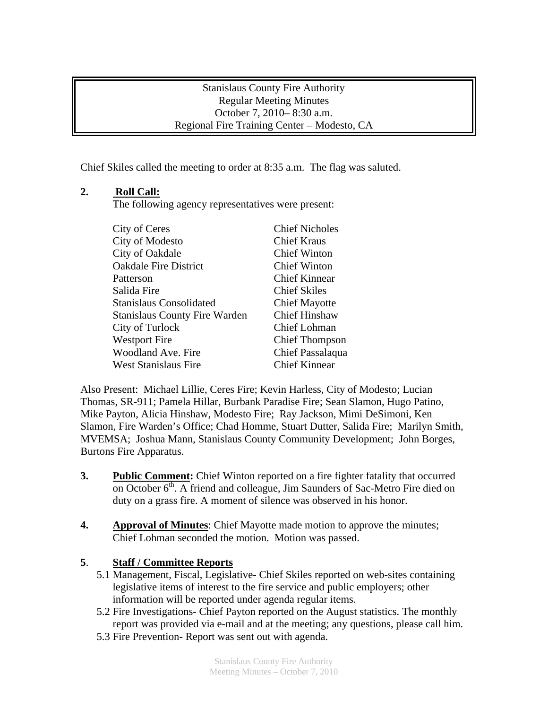## Stanislaus County Fire Authority Regular Meeting Minutes October 7, 2010– 8:30 a.m. Regional Fire Training Center – Modesto, CA

Chief Skiles called the meeting to order at 8:35 a.m. The flag was saluted.

## **2. Roll Call:**

The following agency representatives were present:

| City of Ceres                        | <b>Chief Nicholes</b> |
|--------------------------------------|-----------------------|
| City of Modesto                      | <b>Chief Kraus</b>    |
| City of Oakdale                      | <b>Chief Winton</b>   |
| <b>Oakdale Fire District</b>         | <b>Chief Winton</b>   |
| Patterson                            | <b>Chief Kinnear</b>  |
| Salida Fire                          | <b>Chief Skiles</b>   |
| <b>Stanislaus Consolidated</b>       | <b>Chief Mayotte</b>  |
| <b>Stanislaus County Fire Warden</b> | <b>Chief Hinshaw</b>  |
| City of Turlock                      | Chief Lohman          |
| <b>Westport Fire</b>                 | <b>Chief Thompson</b> |
| Woodland Ave. Fire                   | Chief Passalaqua      |
| <b>West Stanislaus Fire</b>          | <b>Chief Kinnear</b>  |

Also Present: Michael Lillie, Ceres Fire; Kevin Harless, City of Modesto; Lucian Thomas, SR-911; Pamela Hillar, Burbank Paradise Fire; Sean Slamon, Hugo Patino, Mike Payton, Alicia Hinshaw, Modesto Fire; Ray Jackson, Mimi DeSimoni, Ken Slamon, Fire Warden's Office; Chad Homme, Stuart Dutter, Salida Fire; Marilyn Smith, MVEMSA; Joshua Mann, Stanislaus County Community Development; John Borges, Burtons Fire Apparatus.

- **3.** Public Comment: Chief Winton reported on a fire fighter fatality that occurred on October  $6<sup>th</sup>$ . A friend and colleague, Jim Saunders of Sac-Metro Fire died on duty on a grass fire. A moment of silence was observed in his honor.
- **4.** Approval of Minutes: Chief Mayotte made motion to approve the minutes; Chief Lohman seconded the motion. Motion was passed.

## **5**. **Staff / Committee Reports**

- 5.1 Management, Fiscal, Legislative- Chief Skiles reported on web-sites containing legislative items of interest to the fire service and public employers; other information will be reported under agenda regular items.
- 5.2 Fire Investigations- Chief Payton reported on the August statistics. The monthly report was provided via e-mail and at the meeting; any questions, please call him.
- 5.3 Fire Prevention- Report was sent out with agenda.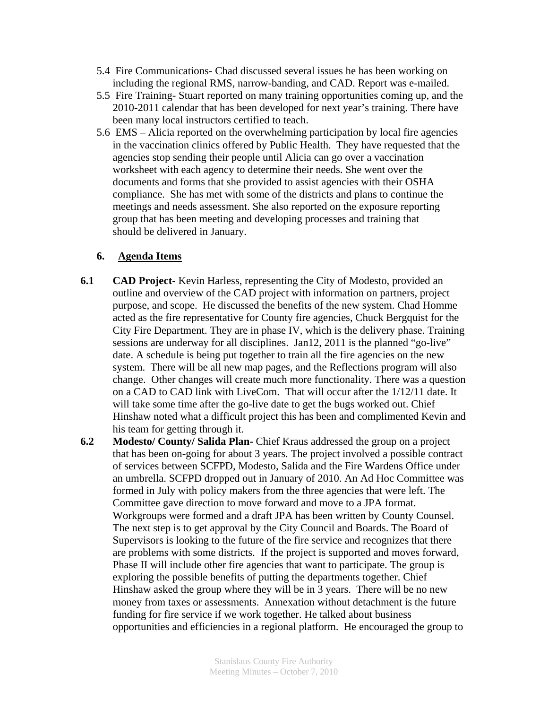- 5.4 Fire Communications- Chad discussed several issues he has been working on including the regional RMS, narrow-banding, and CAD. Report was e-mailed.
- 5.5 Fire Training- Stuart reported on many training opportunities coming up, and the 2010-2011 calendar that has been developed for next year's training. There have been many local instructors certified to teach.
- 5.6 EMS Alicia reported on the overwhelming participation by local fire agencies in the vaccination clinics offered by Public Health. They have requested that the agencies stop sending their people until Alicia can go over a vaccination worksheet with each agency to determine their needs. She went over the documents and forms that she provided to assist agencies with their OSHA compliance. She has met with some of the districts and plans to continue the meetings and needs assessment. She also reported on the exposure reporting group that has been meeting and developing processes and training that should be delivered in January.

## **6. Agenda Items**

- **6.1 CAD Project-** Kevin Harless, representing the City of Modesto, provided an outline and overview of the CAD project with information on partners, project purpose, and scope. He discussed the benefits of the new system. Chad Homme acted as the fire representative for County fire agencies, Chuck Bergquist for the City Fire Department. They are in phase IV, which is the delivery phase. Training sessions are underway for all disciplines. Jan12, 2011 is the planned "go-live" date. A schedule is being put together to train all the fire agencies on the new system. There will be all new map pages, and the Reflections program will also change. Other changes will create much more functionality. There was a question on a CAD to CAD link with LiveCom. That will occur after the 1/12/11 date. It will take some time after the go-live date to get the bugs worked out. Chief Hinshaw noted what a difficult project this has been and complimented Kevin and his team for getting through it.
- **6.2 Modesto/ County/ Salida Plan-** Chief Kraus addressed the group on a project that has been on-going for about 3 years. The project involved a possible contract of services between SCFPD, Modesto, Salida and the Fire Wardens Office under an umbrella. SCFPD dropped out in January of 2010. An Ad Hoc Committee was formed in July with policy makers from the three agencies that were left. The Committee gave direction to move forward and move to a JPA format. Workgroups were formed and a draft JPA has been written by County Counsel. The next step is to get approval by the City Council and Boards. The Board of Supervisors is looking to the future of the fire service and recognizes that there are problems with some districts. If the project is supported and moves forward, Phase II will include other fire agencies that want to participate. The group is exploring the possible benefits of putting the departments together. Chief Hinshaw asked the group where they will be in 3 years. There will be no new money from taxes or assessments. Annexation without detachment is the future funding for fire service if we work together. He talked about business opportunities and efficiencies in a regional platform. He encouraged the group to